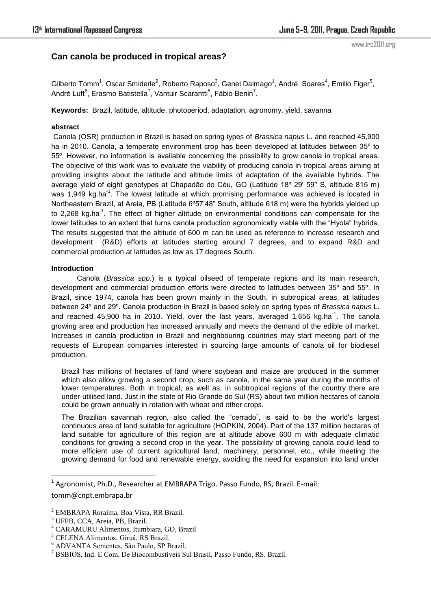# **Can canola be produced in tropical areas?**

Gilberto Tomm<sup>1</sup>, Oscar Smiderle<sup>2</sup>, Roberto Raposo<sup>3</sup>, Genei Dalmago<sup>1</sup>, André Soares<sup>4</sup>, Emilio Figer<sup>5</sup>, André Luft $^6$ , Erasmo Batistella<sup>7</sup>, Vantuir Scarantti<sup>5</sup>, Fábio Benin<sup>7</sup>.

**Keywords:** Brazil, latitude, altitude, photoperiod, adaptation, agronomy, yield, savanna

## **abstract**

 Canola (OSR) production in Brazil is based on spring types of *Brassica napus* L. and reached 45,900 ha in 2010. Canola, a temperate environment crop has been developed at latitudes between 35º to 55º. However, no information is available concerning the possibility to grow canola in tropical areas. The objective of this work was to evaluate the viability of producing canola in tropical areas aiming at providing insights about the latitude and altitude limits of adaptation of the available hybrids. The average yield of eight genotypes at Chapadão do Céu, GO (Latitude 18º 29' 59'' S, altitude 815 m) was 1,949 kg.ha<sup>-1</sup>. The lowest latitude at which promising performance was achieved is located in Northeastern Brazil, at Areia, PB (Latitude 6°57'48" South, altitude 618 m) were the hybrids yielded up to 2,268 kg.ha<sup>-1</sup>. The effect of higher altitude on environmental conditions can compensate for the lower latitudes to an extent that turns canola production agronomically viable with the "Hyola" hybrids. The results suggested that the altitude of 600 m can be used as reference to increase research and development (R&D) efforts at latitudes starting around 7 degrees, and to expand R&D and commercial production at latitudes as low as 17 degrees South.

## **Introduction**

Canola (*Brassica spp.*) is a typical oilseed of temperate regions and its main research, development and commercial production efforts were directed to latitudes between 35º and 55º. In Brazil, since 1974, canola has been grown mainly in the South, in subtropical areas, at latitudes between 24º and 29º. Canola production in Brazil is based solely on spring types of *Brassica napus* L. and reached 45,900 ha in 2010. Yield, over the last years, averaged 1,656 kg.ha<sup>-1</sup>. The canola growing area and production has increased annually and meets the demand of the edible oil market. Increases in canola production in Brazil and neighbouring countries may start meeting part of the requests of European companies interested in sourcing large amounts of canola oil for biodiesel production.

Brazil has millions of hectares of land where soybean and maize are produced in the summer which also allow growing a second crop, such as canola, in the same year during the months of lower temperatures. Both in tropical, as well as, in subtropical regions of the country there are under-utilised land. Just in the state of Rio Grande do Sul (RS) about two million hectares of canola could be grown annually in rotation with wheat and other crops.

The Brazilian savannah region, also called the "cerrado", is said to be the world's largest continuous area of land suitable for agriculture (HOPKIN, 2004). Part of the 137 million hectares of land suitable for agriculture of this region are at altitude above 600 m with adequate climatic conditions for growing a second crop in the year. The possibility of growing canola could lead to more efficient use of current agricultural land, machinery, personnel, etc., while meeting the growing demand for food and renewable energy, avoiding the need for expansion into land under

 $\overline{\phantom{a}}$ 

<sup>&</sup>lt;sup>1</sup> Agronomist, Ph.D., Researcher at EMBRAPA Trigo. Passo Fundo, RS, Brazil. E-mail: tomm@cnpt.embrapa.br

<sup>2</sup> EMBRAPA Roraima, Boa Vista, RR Brazil.

<sup>3</sup> UFPB, CCA, Areia, PB, Brazil.

<sup>4</sup> CARAMURU Alimentos, Itumbiara, GO, Brazil

<sup>5</sup> CELENA Alimentos, Giruá, RS Brazil.

<sup>6</sup> ADVANTA Sementes, São Paulo, SP Brazil.

<sup>7</sup> BSBIOS, Ind. E Com. De Biocombustíveis Sul Brasil, Passo Fundo, RS. Brazil.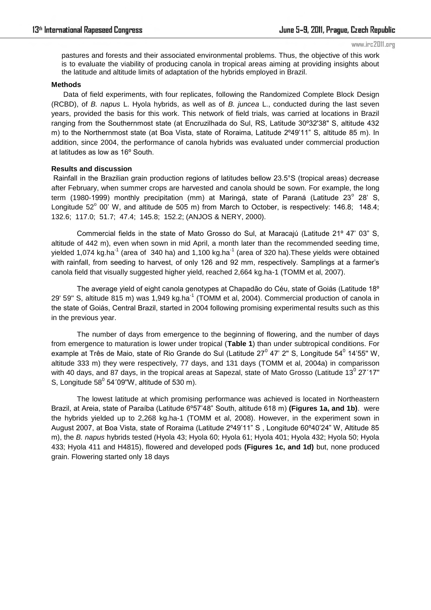#### www.irc2011.org

pastures and forests and their associated environmental problems. Thus, the objective of this work is to evaluate the viability of producing canola in tropical areas aiming at providing insights about the latitude and altitude limits of adaptation of the hybrids employed in Brazil.

### **Methods**

 Data of field experiments, with four replicates, following the Randomized Complete Block Design (RCBD), of *B. napus* L. Hyola hybrids, as well as of *B. juncea* L., conducted during the last seven years, provided the basis for this work. This network of field trials, was carried at locations in Brazil ranging from the Southernmost state (at Encruzilhada do Sul, RS, Latitude 30º32'38" S, altitude 432 m) to the Northernmost state (at Boa Vista, state of Roraima, Latitude 2°49'11" S, altitude 85 m). In addition, since 2004, the performance of canola hybrids was evaluated under commercial production at latitudes as low as 16º South.

### **Results and discussion**

Rainfall in the Brazilian grain production regions of latitudes bellow 23.5°S (tropical areas) decrease after February, when summer crops are harvested and canola should be sown. For example, the long term (1980-1999) monthly precipitation (mm) at Maringá, state of Paraná (Latitude 23<sup>°</sup> 28' S, Longitude  $52^{\circ}$  00' W, and altitude de 505 m) from March to October, is respectively: 146.8; 148.4; 132.6; 117.0; 51.7; 47.4; 145.8; 152.2; (ANJOS & NERY, 2000).

Commercial fields in the state of Mato Grosso do Sul, at Maracajú (Latitude 21° 47' 03" S, altitude of 442 m), even when sown in mid April, a month later than the recommended seeding time, yielded 1,074 kg.ha<sup>-1</sup> (area of 340 ha) and 1,100 kg.ha<sup>-1</sup> (area of 320 ha). These yields were obtained with rainfall, from seeding to harvest, of only 126 and 92 mm, respectively. Samplings at a farmer's canola field that visually suggested higher yield, reached 2,664 kg.ha-1 (TOMM et al, 2007).

The average yield of eight canola genotypes at Chapadão do Céu, state of Goiás (Latitude 18º 29' 59" S, altitude 815 m) was 1,949 kg.ha<sup>-1</sup> (TOMM et al, 2004). Commercial production of canola in the state of Goiás, Central Brazil, started in 2004 following promising experimental results such as this in the previous year.

The number of days from emergence to the beginning of flowering, and the number of days from emergence to maturation is lower under tropical (**Table 1**) than under subtropical conditions. For example at Três de Maio, state of Rio Grande do Sul (Latitude 27<sup>0</sup> 47' 2" S, Longitude 54<sup>0</sup> 14'55" W, altitude 333 m) they were respectively, 77 days, and 131 days (TOMM et al, 2004a) in comparisson with 40 days, and 87 days, in the tropical areas at Sapezal, state of Mato Grosso (Latitude 13 $^0$  27´17" S, Longitude 58 $^0$  54´09"W, altitude of 530 m).

The lowest latitude at which promising performance was achieved is located in Northeastern Brazil, at Areia, state of Paraíba (Latitude 6º57'48‖ South, altitude 618 m) **(Figures 1a, and 1b)**. were the hybrids yielded up to 2,268 kg.ha-1 (TOMM et al, 2008). However, in the experiment sown in August 2007, at Boa Vista, state of Roraima (Latitude 2°49'11" S, Longitude 60°40'24" W, Altitude 85 m), the *B. napus* hybrids tested (Hyola 43; Hyola 60; Hyola 61; Hyola 401; Hyola 432; Hyola 50; Hyola 433; Hyola 411 and H4815), flowered and developed pods **(Figures 1c, and 1d)** but, none produced grain. Flowering started only 18 days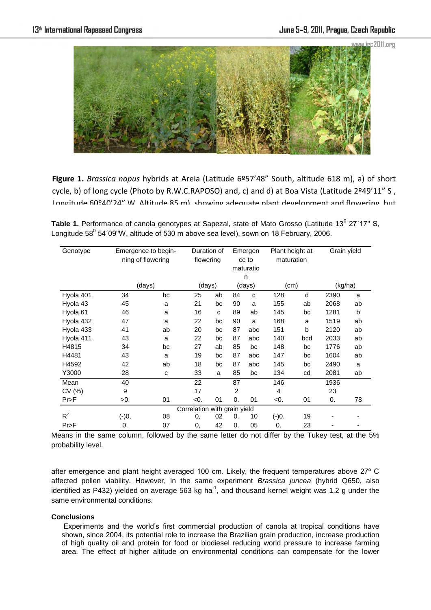

**Figure 1.** *Brassica napus* hybrids at Areia (Latitude 6º57'48" South, altitude 618 m), a) of short cycle, b) of long cycle (Photo by R.W.C.RAPOSO) and, c) and d) at Boa Vista (Latitude 2º49'11" S, Longitude 60º40'24" W, Altitude 85 m), showing adequate plant development and flowering, but

Table 1. Performance of canola genotypes at Sapezal, state of Mato Grosso (Latitude 13<sup>0</sup> 27'17" S, Longitude 58 $^0$  54´09"W, altitude of 530 m above sea level), sown on 18 February, 2006.

| Genotype                     |         | Emergence to begin-<br>ning of flowering |           | Duration of<br>flowering |                | Emergen<br>ce to | Plant height at<br>maturation |     | Grain yield |    |
|------------------------------|---------|------------------------------------------|-----------|--------------------------|----------------|------------------|-------------------------------|-----|-------------|----|
|                              |         |                                          | maturatio |                          |                |                  |                               |     |             |    |
|                              |         |                                          |           |                          | n              |                  |                               |     |             |    |
|                              | (days)  |                                          | (days)    |                          | (days)         |                  | (cm)                          |     | (kg/ha)     |    |
| Hyola 401                    | 34      | bc                                       | 25        | ab                       | 84             | C                | 128                           | d   | 2390        | a  |
| Hyola 43                     | 45      | a                                        | 21        | bc                       | 90             | a                | 155                           | ab  | 2068        | ab |
| Hyola 61                     | 46      | a                                        | 16        | C                        | 89             | ab               | 145                           | bc  | 1281        | b  |
| Hyola 432                    | 47      | a                                        | 22        | bc                       | 90             | a                | 168                           | a   | 1519        | ab |
| Hyola 433                    | 41      | ab                                       | 20        | bc                       | 87             | abc              | 151                           | b   | 2120        | ab |
| Hyola 411                    | 43      | a                                        | 22        | bc                       | 87             | abc              | 140                           | bcd | 2033        | ab |
| H4815                        | 34      | bc                                       | 27        | ab                       | 85             | bc               | 148                           | bc  | 1776        | ab |
| H4481                        | 43      | a                                        | 19        | bc                       | 87             | abc              | 147                           | bc  | 1604        | ab |
| H4592                        | 42      | ab                                       | 18        | bc                       | 87             | abc              | 145                           | bc  | 2490        | a  |
| Y3000                        | 28      | с                                        | 33        | a                        | 85             | bc               | 134                           | cd  | 2081        | ab |
| Mean                         | 40      |                                          | 22        |                          | 87             |                  | 146                           |     | 1936        |    |
| CV(%)                        | 9       |                                          | 17        |                          | $\overline{2}$ |                  | $\overline{4}$                |     | 23          |    |
| Pr>F                         | >0.     | 01                                       | < 0.      | 01                       | 0.             | 01               | <0.                           | 01  | 0.          | 78 |
| Correlation with grain yield |         |                                          |           |                          |                |                  |                               |     |             |    |
| $R^2$                        | $(-)0,$ | 08                                       | 0,        | 02                       | 0.             | 10               | $(-)0.$                       | 19  |             |    |
| Pr>F                         | 0,      | 07                                       | 0,        | 42                       | 0.             | 05               | 0.                            | 23  |             |    |

Means in the same column, followed by the same letter do not differ by the Tukey test, at the 5% probability level.

after emergence and plant height averaged 100 cm. Likely, the frequent temperatures above 27º C affected pollen viability. However, in the same experiment *Brassica juncea* (hybrid Q650, also identified as P432) yielded on average 563 kg ha $^{-1}$ , and thousand kernel weight was 1.2 g under the same environmental conditions.

# **Conclusions**

Experiments and the world's first commercial production of canola at tropical conditions have shown, since 2004, its potential role to increase the Brazilian grain production, increase production of high quality oil and protein for food or biodiesel reducing world pressure to increase farming area. The effect of higher altitude on environmental conditions can compensate for the lower